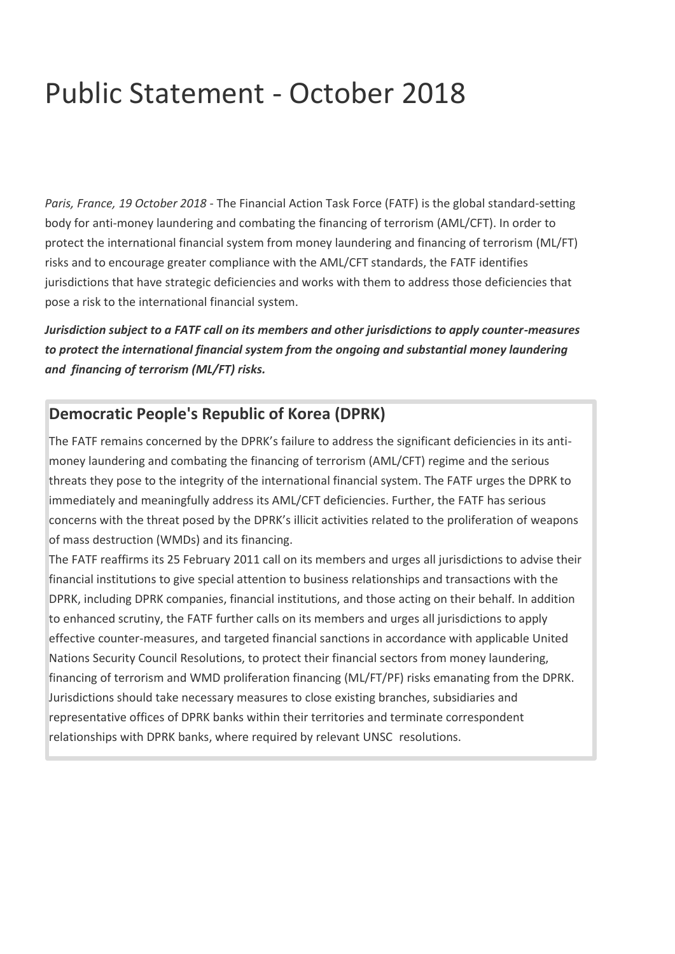## Public Statement - October 2018

*Paris, France, 19 October 2018* - The Financial Action Task Force (FATF) is the global standard-setting body for anti-money laundering and combating the financing of terrorism (AML/CFT). In order to protect the international financial system from money laundering and financing of terrorism (ML/FT) risks and to encourage greater compliance with the AML/CFT standards, the FATF identifies jurisdictions that have strategic deficiencies and works with them to address those deficiencies that pose a risk to the international financial system.

*Jurisdiction subject to a FATF call on its members and other jurisdictions to apply counter-measures to protect the international financial system from the ongoing and substantial money laundering and financing of terrorism (ML/FT) risks.*

## **Democratic People's Republic of Korea (DPRK)**

The FATF remains concerned by the DPRK's failure to address the significant deficiencies in its antimoney laundering and combating the financing of terrorism (AML/CFT) regime and the serious threats they pose to the integrity of the international financial system. The FATF urges the DPRK to immediately and meaningfully address its AML/CFT deficiencies. Further, the FATF has serious concerns with the threat posed by the DPRK's illicit activities related to the proliferation of weapons of mass destruction (WMDs) and its financing.

The FATF reaffirms its 25 February 2011 call on its members and urges all jurisdictions to advise their financial institutions to give special attention to business relationships and transactions with the DPRK, including DPRK companies, financial institutions, and those acting on their behalf. In addition to enhanced scrutiny, the FATF further calls on its members and urges all jurisdictions to apply effective counter-measures, and targeted financial sanctions in accordance with applicable United Nations Security Council Resolutions, to protect their financial sectors from money laundering, financing of terrorism and WMD proliferation financing (ML/FT/PF) risks emanating from the DPRK. Jurisdictions should take necessary measures to close existing branches, subsidiaries and representative offices of DPRK banks within their territories and terminate correspondent relationships with DPRK banks, where required by relevant UNSC resolutions.